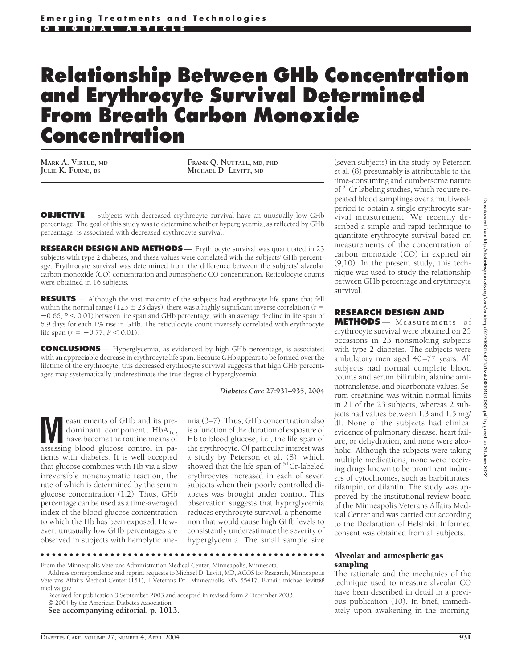# **Relationship Between GHb Concentration and Erythrocyte Survival Determined From Breath Carbon Monoxide Concentration**

**MARK A. VIRTUE, MD JULIE K. FURNE, BS**

**FRANK Q. NUTTALL, MD, PHD MICHAEL D. LEVITT, MD**

**OBJECTIVE** — Subjects with decreased erythrocyte survival have an unusually low GHb percentage. The goal of this study was to determine whether hyperglycemia, as reflected by GHb percentage, is associated with decreased erythrocyte survival.

**RESEARCH DESIGN AND METHODS** — Erythrocyte survival was quantitated in 23 subjects with type 2 diabetes, and these values were correlated with the subjects' GHb percentage. Erythrocyte survival was determined from the difference between the subjects' alveolar carbon monoxide (CO) concentration and atmospheric CO concentration. Reticulocyte counts were obtained in 16 subjects.

**RESULTS** — Although the vast majority of the subjects had erythrocyte life spans that fell within the normal range ( $123 \pm 23$  days), there was a highly significant inverse correlation ( $r =$  $-0.66$ ,  $P < 0.01$ ) between life span and GHb percentage, with an average decline in life span of 6.9 days for each 1% rise in GHb. The reticulocyte count inversely correlated with erythrocyte life span ( $r = -0.77$ ,  $P < 0.01$ ).

**CONCLUSIONS** — Hyperglycemia, as evidenced by high GHb percentage, is associated with an appreciable decrease in erythrocyte life span. Because GHb appears to be formed over the lifetime of the erythrocyte, this decreased erythrocyte survival suggests that high GHb percentages may systematically underestimate the true degree of hyperglycemia.

#### *Diabetes Care* **27:931–935, 2004**

**M**easurements of GHb and its pre-<br>dominant component,  $HbA_{1c}$ ,<br>have become the routine means of<br>assessing blood glucose control in padominant component,  $HbA_{1c}$ , have become the routine means of assessing blood glucose control in patients with diabetes. It is well accepted that glucose combines with Hb via a slow irreversible nonenzymatic reaction, the rate of which is determined by the serum glucose concentration (1,2). Thus, GHb percentage can be used as a time-averaged index of the blood glucose concentration to which the Hb has been exposed. However, unusually low GHb percentages are observed in subjects with hemolytic ane-

mia (3–7). Thus, GHb concentration also is a function of the duration of exposure of Hb to blood glucose, i.e., the life span of the erythrocyte. Of particular interest was a study by Peterson et al. (8), which showed that the life span of <sup>51</sup>Cr-labeled erythrocytes increased in each of seven subjects when their poorly controlled diabetes was brought under control. This observation suggests that hyperglycemia reduces erythrocyte survival, a phenomenon that would cause high GHb levels to consistently underestimate the severity of hyperglycemia. The small sample size

From the Minneapolis Veterans Administration Medical Center, Minneapolis, Minnesota.

●●●●●●●●●●●●●●●●●●●●●●●●●●●●●●●●●●●●●●●●●●●●●●●●●

© 2004 by the American Diabetes Association.

(seven subjects) in the study by Peterson et al. (8) presumably is attributable to the time-consuming and cumbersome nature of <sup>51</sup>Cr labeling studies, which require repeated blood samplings over a multiweek period to obtain a single erythrocyte survival measurement. We recently described a simple and rapid technique to quantitate erythrocyte survival based on measurements of the concentration of carbon monoxide (CO) in expired air (9,10). In the present study, this technique was used to study the relationship between GHb percentage and erythrocyte survival.

# **RESEARCH DESIGN AND**

**METHODS** — Measurements of erythrocyte survival were obtained on 25 occasions in 23 nonsmoking subjects with type 2 diabetes. The subjects were ambulatory men aged 40–77 years. All subjects had normal complete blood counts and serum bilirubin, alanine aminotransferase, and bicarbonate values. Serum creatinine was within normal limits in 21 of the 23 subjects, whereas 2 subjects had values between 1.3 and 1.5 mg/ dl. None of the subjects had clinical evidence of pulmonary disease, heart failure, or dehydration, and none were alcoholic. Although the subjects were taking multiple medications, none were receiving drugs known to be prominent inducers of cytochromes, such as barbiturates, rifampin, or dilantin. The study was approved by the institutional review board of the Minneapolis Veterans Affairs Medical Center and was carried out according to the Declaration of Helsinki. Informed consent was obtained from all subjects.

#### Alveolar and atmospheric gas sampling

The rationale and the mechanics of the technique used to measure alveolar CO have been described in detail in a previous publication (10). In brief, immediately upon awakening in the morning,

Address correspondence and reprint requests to Michael D. Levitt, MD, ACOS for Research, Minneapolis Veterans Affairs Medical Center (151), 1 Veterans Dr., Minneapolis, MN 55417. E-mail: michael.levitt@ med.va.gov.

Received for publication 3 September 2003 and accepted in revised form 2 December 2003.

**See accompanying editorial, p. 1013.**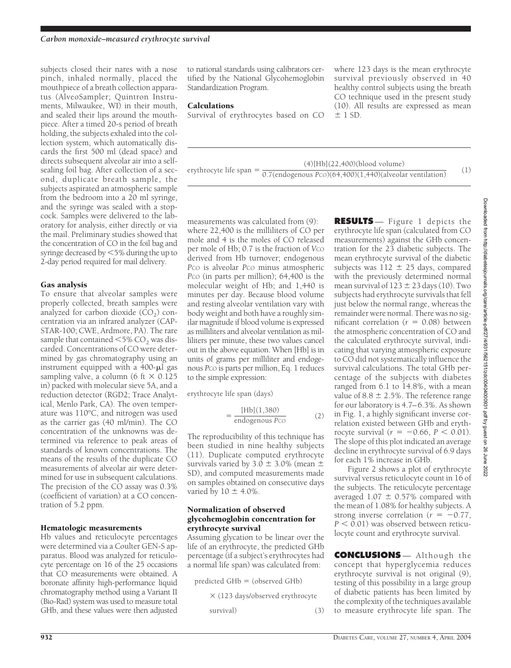subjects closed their nares with a nose pinch, inhaled normally, placed the mouthpiece of a breath collection apparatus (AlveoSampler; Quintron Instruments, Milwaukee, WI) in their mouth, and sealed their lips around the mouthpiece. After a timed 20-s period of breath holding, the subjects exhaled into the collection system, which automatically discards the first 500 ml (dead space) and directs subsequent alveolar air into a selfsealing foil bag. After collection of a second, duplicate breath sample, the subjects aspirated an atmospheric sample from the bedroom into a 20 ml syringe, and the syringe was sealed with a stopcock. Samples were delivered to the laboratory for analysis, either directly or via the mail. Preliminary studies showed that the concentration of CO in the foil bag and syringe decreased by  $<$  5% during the up to 2-day period required for mail delivery.

# Gas analysis

To ensure that alveolar samples were properly collected, breath samples were analyzed for carbon dioxide  $(CO<sub>2</sub>)$  concentration via an infrared analyzer (CAP-STAR-100; CWE, Ardmore, PA). The rare sample that contained  $<$  5% CO<sub>2</sub> was discarded. Concentrations of CO were determined by gas chromatography using an instrument equipped with a  $400-\mu\text{J}$  gas sampling valve, a column (6 ft  $\times$  0.125 in) packed with molecular sieve 5A, and a reduction detector (RGD2; Trace Analytical, Menlo Park, CA). The oven temperature was 110°C, and nitrogen was used as the carrier gas (40 ml/min). The CO concentration of the unknowns was determined via reference to peak areas of standards of known concentrations. The means of the results of the duplicate CO measurements of alveolar air were determined for use in subsequent calculations. The precision of the CO assay was 0.3% (coefficient of variation) at a CO concentration of 5.2 ppm.

# Hematologic measurements

Hb values and reticulocyte percentages were determined via a Coulter GEN-S apparatus. Blood was analyzed for reticulocyte percentage on 16 of the 25 occasions that CO measurements were obtained. A boronate affinity high-performance liquid chromatography method using a Variant II (Bio-Rad) system was used to measure total GHb, and these values were then adjusted to national standards using calibrators certified by the National Glycohemoglobin Standardization Program.

# **Calculations**

Survival of erythrocytes based on CO

where 123 days is the mean erythrocyte survival previously observed in 40 healthy control subjects using the breath CO technique used in the present study (10). All results are expressed as mean  $\pm$  1 SD.

erythrocyte life span  $=$  (4)[Hb](22,400)(blood volume) 0.7(endogenous *Pco*)(64,400)(1,440)(alveolar ventilation) (1)

measurements was calculated from (9): where 22,400 is the milliliters of CO per mole and 4 is the moles of CO released per mole of Hb; 0.7 is the fraction of *V*co derived from Hb turnover; endogenous *P*CO is alveolar *P*CO minus atmospheric *P*CO (in parts per million); 64,400 is the molecular weight of Hb; and 1,440 is minutes per day. Because blood volume and resting alveolar ventilation vary with body weight and both have a roughly similar magnitude if blood volume is expressed as milliliters and alveolar ventilation as milliliters per minute, these two values cancel out in the above equation. When [Hb] is in units of grams per milliliter and endogenous *P*CO is parts per million, Eq. 1 reduces to the simple expression:

erythrocyte life span (days)

$$
= \frac{[Hb](1,380)}{\text{endogenous } P\text{co}} \tag{2}
$$

The reproducibility of this technique has been studied in nine healthy subjects (11). Duplicate computed erythrocyte survivals varied by 3.0  $\pm$  3.0% (mean  $\pm$ SD), and computed measurements made on samples obtained on consecutive days varied by  $10 \pm 4.0\%$ .

### Normalization of observed glycohemoglobin concentration for erythrocyte survival

Assuming glycation to be linear over the life of an erythrocyte, the predicted GHb percentage (if a subject's erythrocytes had a normal life span) was calculated from:

predicted GHb = (observed GHb)

 $\times$  (123 days/observed erythrocyte

survival) (3)

**RESULTS** — Figure 1 depicts the erythrocyte life span (calculated from CO measurements) against the GHb concentration for the 23 diabetic subjects. The mean erythrocyte survival of the diabetic subjects was  $112 \pm 25$  days, compared with the previously determined normal mean survival of  $123 \pm 23$  days (10). Two subjects had erythrocyte survivals that fell just below the normal range, whereas the remainder were normal. There was no sig $n$ ificant correlation ( $r = 0.08$ ) between the atmospheric concentration of CO and the calculated erythrocyte survival, indicating that varying atmospheric exposure to CO did not systematically influence the survival calculations. The total GHb percentage of the subjects with diabetes ranged from 6.1 to 14.8%, with a mean value of  $8.8 \pm 2.5$ %. The reference range for our laboratory is 4.7–6.3%. As shown in Fig. 1, a highly significant inverse correlation existed between GHb and erythrocyte survival ( $r = -0.66, P < 0.01$ ). The slope of this plot indicated an average decline in erythrocyte survival of 6.9 days for each 1% increase in GHb.

Figure 2 shows a plot of erythrocyte survival versus reticulocyte count in 16 of the subjects. The reticulocyte percentage averaged  $1.07 \pm 0.57\%$  compared with the mean of 1.08% for healthy subjects. A strong inverse correlation ( $r = -0.77$ ,  $P < 0.01$ ) was observed between reticulocyte count and erythrocyte survival.

**CONCLUSIONS** — Although the concept that hyperglycemia reduces erythrocyte survival is not original (9), testing of this possibility in a large group of diabetic patients has been limited by the complexity of the techniques available to measure erythrocyte life span. The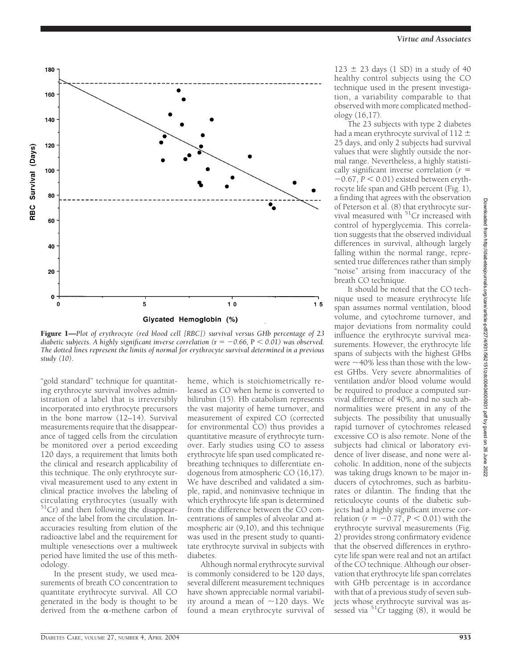

Figure 1—*Plot of erythrocyte (red blood cell [RBC]) survival versus GHb percentage of 23 diabetic subjects. A highly significant inverse correlation (* $r = -0.66$ *,*  $P < 0.01$ *) was observed. The dotted lines represent the limits of normal for erythrocyte survival determined in a previous study (10).*

"gold standard" technique for quantitating erythrocyte survival involves administration of a label that is irreversibly incorporated into erythrocyte precursors in the bone marrow (12–14). Survival measurements require that the disappearance of tagged cells from the circulation be monitored over a period exceeding 120 days, a requirement that limits both the clinical and research applicability of this technique. The only erythrocyte survival measurement used to any extent in clinical practice involves the labeling of circulating erythrocytes (usually with  $51Cr$ ) and then following the disappearance of the label from the circulation. Inaccuracies resulting from elution of the radioactive label and the requirement for multiple venesections over a multiweek period have limited the use of this methodology.

In the present study, we used measurements of breath CO concentration to quantitate erythrocyte survival. All CO generated in the body is thought to be derived from the  $\alpha$ -methene carbon of

heme, which is stoichiometrically released as CO when heme is converted to bilirubin (15). Hb catabolism represents the vast majority of heme turnover, and measurement of expired CO (corrected for environmental CO) thus provides a quantitative measure of erythrocyte turnover. Early studies using CO to assess erythrocyte life span used complicated rebreathing techniques to differentiate endogenous from atmospheric CO (16,17). We have described and validated a simple, rapid, and noninvasive technique in which erythrocyte life span is determined from the difference between the CO concentrations of samples of alveolar and atmospheric air (9,10), and this technique was used in the present study to quantitate erythrocyte survival in subjects with diabetes.

Although normal erythrocyte survival is commonly considered to be 120 days, several different measurement techniques have shown appreciable normal variability around a mean of  $\sim$ 120 days. We found a mean erythrocyte survival of

 $123 \pm 23$  days (1 SD) in a study of 40 healthy control subjects using the CO technique used in the present investigation, a variability comparable to that observed with more complicated methodology (16,17).

The 23 subjects with type 2 diabetes had a mean erythrocyte survival of  $112 \pm$ 25 days, and only 2 subjects had survival values that were slightly outside the normal range. Nevertheless, a highly statistically significant inverse correlation  $(r =$  $-0.67$ ,  $P < 0.01$ ) existed between erythrocyte life span and GHb percent (Fig. 1), a finding that agrees with the observation of Peterson et al. (8) that erythrocyte survival measured with 51Cr increased with control of hyperglycemia. This correlation suggests that the observed individual differences in survival, although largely falling within the normal range, represented true differences rather than simply "noise" arising from inaccuracy of the breath CO technique.

It should be noted that the CO technique used to measure erythrocyte life span assumes normal ventilation, blood volume, and cytochrome turnover, and major deviations from normality could influence the erythrocyte survival measurements. However, the erythrocyte life spans of subjects with the highest GHbs were  $\sim$  40% less than those with the lowest GHbs. Very severe abnormalities of ventilation and/or blood volume would be required to produce a computed survival difference of 40%, and no such abnormalities were present in any of the subjects. The possibility that unusually rapid turnover of cytochromes released excessive CO is also remote. None of the subjects had clinical or laboratory evidence of liver disease, and none were alcoholic. In addition, none of the subjects was taking drugs known to be major inducers of cytochromes, such as barbiturates or dilantin. The finding that the reticulocyte counts of the diabetic subjects had a highly significant inverse correlation ( $r = -0.77, P < 0.01$ ) with the erythrocyte survival measurements (Fig. 2) provides strong confirmatory evidence that the observed differences in erythrocyte life span were real and not an artifact of the CO technique. Although our observation that erythrocyte life span correlates with GHb percentage is in accordance with that of a previous study of seven subjects whose erythrocyte survival was assessed via  ${}^{51}Cr$  tagging (8), it would be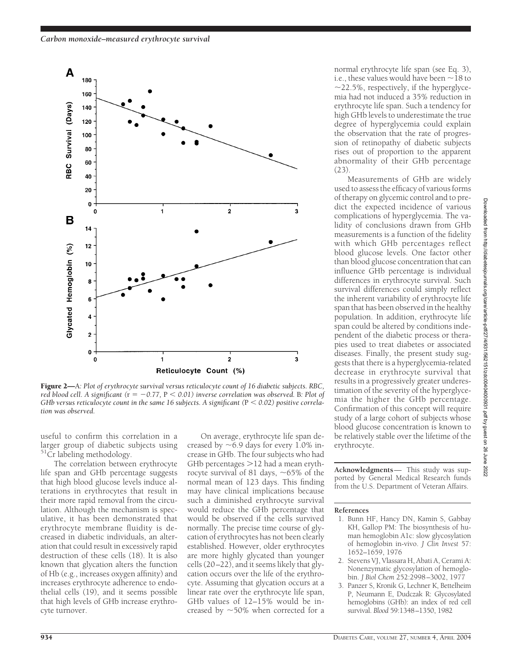

Figure 2—A*: Plot of erythrocyte survival versus reticulocyte count of 16 diabetic subjects. RBC, red blood cell. A significant (*r =  $-0.77$ , P  $<$  0.01) inverse correlation was observed. B: Plot of *GHb versus reticulocyte count in the same 16 subjects. A significant (*P *0.02) positive correlation was observed.*

useful to confirm this correlation in a larger group of diabetic subjects using <sup>51</sup>Cr labeling methodology.

The correlation between erythrocyte life span and GHb percentage suggests that high blood glucose levels induce alterations in erythrocytes that result in their more rapid removal from the circulation. Although the mechanism is speculative, it has been demonstrated that erythrocyte membrane fluidity is decreased in diabetic individuals, an alteration that could result in excessively rapid destruction of these cells (18). It is also known that glycation alters the function of Hb (e.g., increases oxygen affinity) and increases erythrocyte adherence to endothelial cells (19), and it seems possible that high levels of GHb increase erythrocyte turnover.

On average, erythrocyte life span decreased by  $\sim$  6.9 days for every 1.0% increase in GHb. The four subjects who had GHb percentages  $>$  12 had a mean erythrocyte survival of 81 days,  $\sim 65\%$  of the normal mean of 123 days. This finding may have clinical implications because such a diminished erythrocyte survival would reduce the GHb percentage that would be observed if the cells survived normally. The precise time course of glycation of erythrocytes has not been clearly established. However, older erythrocytes are more highly glycated than younger cells (20–22), and it seems likely that glycation occurs over the life of the erythrocyte. Assuming that glycation occurs at a linear rate over the erythrocyte life span, GHb values of 12–15% would be increased by  $\sim$  50% when corrected for a

normal erythrocyte life span (see Eq. 3), i.e., these values would have been  $\sim$  18 to  $\sim$ 22.5%, respectively, if the hyperglycemia had not induced a 35% reduction in erythrocyte life span. Such a tendency for high GHb levels to underestimate the true degree of hyperglycemia could explain the observation that the rate of progression of retinopathy of diabetic subjects rises out of proportion to the apparent abnormality of their GHb percentage (23).

Measurements of GHb are widely used to assess the efficacy of various forms of therapy on glycemic control and to predict the expected incidence of various complications of hyperglycemia. The validity of conclusions drawn from GHb measurements is a function of the fidelity with which GHb percentages reflect blood glucose levels. One factor other than blood glucose concentration that can influence GHb percentage is individual differences in erythrocyte survival. Such survival differences could simply reflect the inherent variability of erythrocyte life span that has been observed in the healthy population. In addition, erythrocyte life span could be altered by conditions independent of the diabetic process or therapies used to treat diabetes or associated diseases. Finally, the present study suggests that there is a hyperglycemia-related decrease in erythrocyte survival that results in a progressively greater underestimation of the severity of the hyperglycemia the higher the GHb percentage. Confirmation of this concept will require study of a large cohort of subjects whose blood glucose concentration is known to be relatively stable over the lifetime of the erythrocyte.

**Acknowledgments**— This study was supported by General Medical Research funds from the U.S. Department of Veteran Affairs.

# **References**

- 1. Bunn HF, Hancy DN, Kamin S, Gabbay KH, Gallop PM: The biosynthesis of human hemoglobin A1c: slow glycosylation of hemoglobin in-vivo. *J Clin Invest* 57: 1652–1659, 1976
- 2. Stevens VJ, Vlassara H, Abati A, Cerami A: Nonenzymatic glycosylation of hemoglobin. *J Biol Chem* 252:2998–3002, 1977
- 3. Panzer S, Kronik G, Lechner K, Bettelheim P, Neumann E, Dudczak R: Glycosylated hemoglobins (GHb): an index of red cell survival. *Blood* 59:1348–1350, 1982